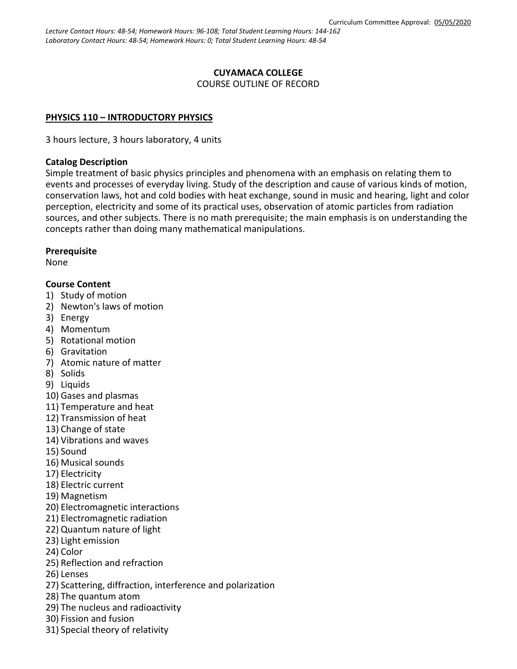*Lecture Contact Hours: 48-54; Homework Hours: 96-108; Total Student Learning Hours: 144-162 Laboratory Contact Hours: 48-54; Homework Hours: 0; Total Student Learning Hours: 48-54*

#### **CUYAMACA COLLEGE** COURSE OUTLINE OF RECORD

#### **PHYSICS 110 – INTRODUCTORY PHYSICS**

3 hours lecture, 3 hours laboratory, 4 units

#### **Catalog Description**

Simple treatment of basic physics principles and phenomena with an emphasis on relating them to events and processes of everyday living. Study of the description and cause of various kinds of motion, conservation laws, hot and cold bodies with heat exchange, sound in music and hearing, light and color perception, electricity and some of its practical uses, observation of atomic particles from radiation sources, and other subjects. There is no math prerequisite; the main emphasis is on understanding the concepts rather than doing many mathematical manipulations.

#### **Prerequisite**

None

#### **Course Content**

- 1) Study of motion
- 2) Newton's laws of motion
- 3) Energy
- 4) Momentum
- 5) Rotational motion
- 6) Gravitation
- 7) Atomic nature of matter
- 8) Solids
- 9) Liquids
- 10) Gases and plasmas
- 11) Temperature and heat
- 12) Transmission of heat
- 13) Change of state
- 14) Vibrations and waves
- 15) Sound
- 16) Musical sounds
- 17) Electricity
- 18) Electric current
- 19) Magnetism
- 20) Electromagnetic interactions
- 21) Electromagnetic radiation
- 22) Quantum nature of light
- 23) Light emission
- 24) Color
- 25) Reflection and refraction
- 26) Lenses
- 27) Scattering, diffraction, interference and polarization
- 28) The quantum atom
- 29) The nucleus and radioactivity
- 30) Fission and fusion
- 31) Special theory of relativity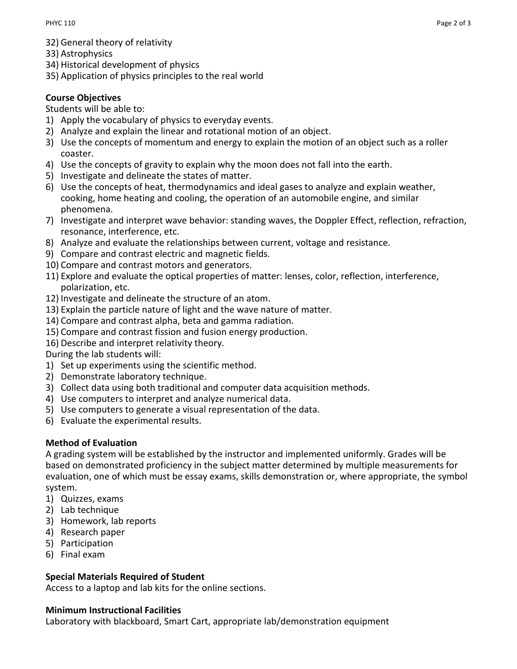- 32) General theory of relativity
- 33) Astrophysics
- 34) Historical development of physics
- 35) Application of physics principles to the real world

## **Course Objectives**

#### Students will be able to:

- 1) Apply the vocabulary of physics to everyday events.
- 2) Analyze and explain the linear and rotational motion of an object.
- 3) Use the concepts of momentum and energy to explain the motion of an object such as a roller coaster.
- 4) Use the concepts of gravity to explain why the moon does not fall into the earth.
- 5) Investigate and delineate the states of matter.
- 6) Use the concepts of heat, thermodynamics and ideal gases to analyze and explain weather, cooking, home heating and cooling, the operation of an automobile engine, and similar phenomena.
- 7) Investigate and interpret wave behavior: standing waves, the Doppler Effect, reflection, refraction, resonance, interference, etc.
- 8) Analyze and evaluate the relationships between current, voltage and resistance.
- 9) Compare and contrast electric and magnetic fields.
- 10) Compare and contrast motors and generators.
- 11) Explore and evaluate the optical properties of matter: lenses, color, reflection, interference, polarization, etc.
- 12) Investigate and delineate the structure of an atom.
- 13) Explain the particle nature of light and the wave nature of matter.
- 14) Compare and contrast alpha, beta and gamma radiation.
- 15) Compare and contrast fission and fusion energy production.
- 16) Describe and interpret relativity theory.

During the lab students will:

- 1) Set up experiments using the scientific method.
- 2) Demonstrate laboratory technique.
- 3) Collect data using both traditional and computer data acquisition methods.
- 4) Use computers to interpret and analyze numerical data.
- 5) Use computers to generate a visual representation of the data.
- 6) Evaluate the experimental results.

### **Method of Evaluation**

A grading system will be established by the instructor and implemented uniformly. Grades will be based on demonstrated proficiency in the subject matter determined by multiple measurements for evaluation, one of which must be essay exams, skills demonstration or, where appropriate, the symbol system.

- 1) Quizzes, exams
- 2) Lab technique
- 3) Homework, lab reports
- 4) Research paper
- 5) Participation
- 6) Final exam

### **Special Materials Required of Student**

Access to a laptop and lab kits for the online sections.

### **Minimum Instructional Facilities**

Laboratory with blackboard, Smart Cart, appropriate lab/demonstration equipment